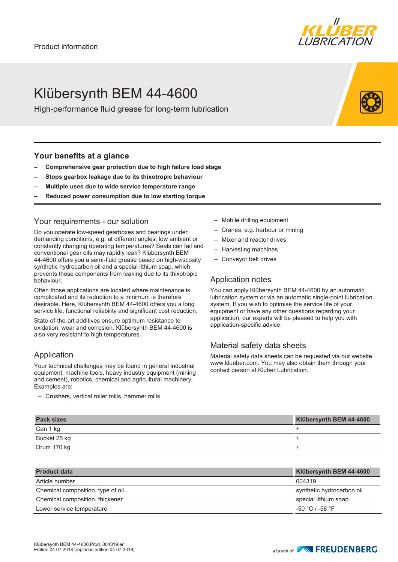# Klübersynth BEM 44-4600

High-performance fluid grease for long-term lubrication

### **Your benefits at a glance**

- **– Comprehensive gear protection due to high failure load stage**
- **– Stops gearbox leakage due to its thixotropic behaviour**
- **– Multiple uses due to wide service temperature range**
- **– Reduced power consumption due to low starting torque**

### Your requirements - our solution

Do you operate low-speed gearboxes and bearings under demanding conditions, e.g. at different angles, low ambient or constantly changing operating temperatures? Seals can fail and conventional gear oils may rapidly leak? Klübersynth BEM 44-4600 offers you a semi-fluid grease based on high-viscosity synthetic hydrocarbon oil and a special lithium soap, which prevents those components from leaking due to its thixotropic behaviour.

Often those applications are located where maintenance is complicated and its reduction to a minimum is therefore desirable. Here, Klübersynth BEM 44-4600 offers you a long service life, functional reliability and significant cost reduction.

State-of-the-art additives ensure optimum resistance to oxidation, wear and corrosion. Klübersynth BEM 44-4600 is also very resistant to high temperatures.

## Application

Your technical challenges may be found in general industrial equipment, machine tools, heavy industry equipment (mining and cement), robotics, chemical and agricultural machinery. Examples are:

– Crushers, vertical roller mills, hammer mills

- Mobile drilling equipment
- Cranes, e.g. harbour or mining
- Mixer and reactor drives
- Harvesting machines
- Conveyor belt drives

#### Application notes

You can apply Klübersynth BEM 44-4600 by an automatic lubrication system or via an automatic single-point lubrication system. If you wish to optimise the service life of your equipment or have any other questions regarding your application, our experts will be pleased to help you with application-specific advice.

#### Material safety data sheets

Material safety data sheets can be requested via our website www.klueber.com. You may also obtain them through your contact person at Klüber Lubrication.

| <b>Pack sizes</b> | Klübersynth BEM 44-4600 |
|-------------------|-------------------------|
| Can 1 kg          |                         |
| Bucket 25 kg      |                         |
| Drum 170 kg       |                         |
|                   |                         |

| <b>Product data</b>               | Klübersynth BEM 44-4600   |
|-----------------------------------|---------------------------|
| Article number                    | 004319                    |
| Chemical composition, type of oil | synthetic hydrocarbon oil |
| Chemical composition, thickener   | special lithium soap      |
| Lower service temperature         | -50 °C / -58 °F           |